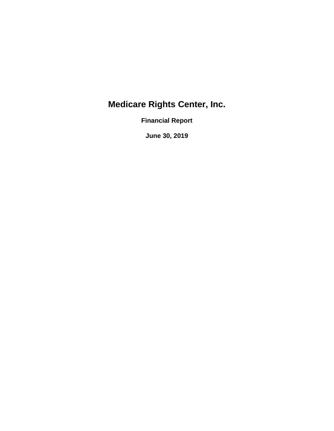**Financial Report** 

**June 30, 2019**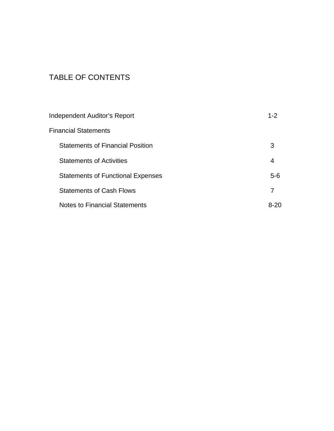## TABLE OF CONTENTS

| Independent Auditor's Report             | $1 - 2$ |
|------------------------------------------|---------|
| Financial Statements                     |         |
| <b>Statements of Financial Position</b>  | 3       |
| <b>Statements of Activities</b>          | 4       |
| <b>Statements of Functional Expenses</b> | $5-6$   |
| <b>Statements of Cash Flows</b>          | 7       |
| <b>Notes to Financial Statements</b>     | 8-20    |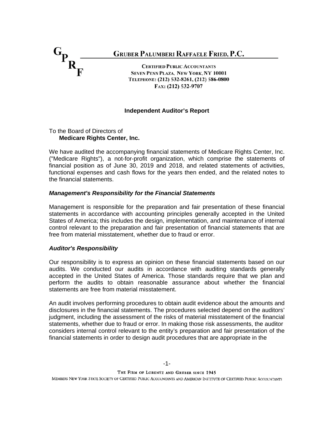

#### **Independent Auditor's Report**

#### To the Board of Directors of **Medicare Rights Center, Inc.**

We have audited the accompanying financial statements of Medicare Rights Center, Inc. ("Medicare Rights"), a not-for-profit organization, which comprise the statements of financial position as of June 30, 2019 and 2018, and related statements of activities, functional expenses and cash flows for the years then ended, and the related notes to the financial statements.

#### *Management's Responsibility for the Financial Statements*

Management is responsible for the preparation and fair presentation of these financial statements in accordance with accounting principles generally accepted in the United States of America; this includes the design, implementation, and maintenance of internal control relevant to the preparation and fair presentation of financial statements that are free from material misstatement, whether due to fraud or error.

#### *Auditor's Responsibility*

Our responsibility is to express an opinion on these financial statements based on our audits. We conducted our audits in accordance with auditing standards generally accepted in the United States of America. Those standards require that we plan and perform the audits to obtain reasonable assurance about whether the financial statements are free from material misstatement.

An audit involves performing procedures to obtain audit evidence about the amounts and disclosures in the financial statements. The procedures selected depend on the auditors' judgment, including the assessment of the risks of material misstatement of the financial statements, whether due to fraud or error. In making those risk assessments, the auditor considers internal control relevant to the entity's preparation and fair presentation of the financial statements in order to design audit procedures that are appropriate in the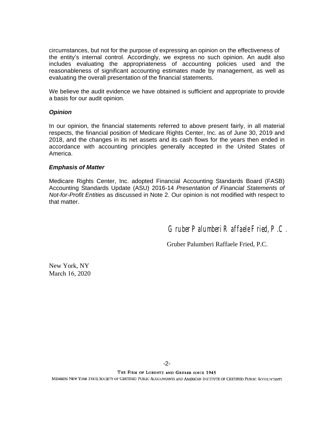circumstances, but not for the purpose of expressing an opinion on the effectiveness of the entity's internal control. Accordingly, we express no such opinion. An audit also includes evaluating the appropriateness of accounting policies used and the reasonableness of significant accounting estimates made by management, as well as evaluating the overall presentation of the financial statements.

We believe the audit evidence we have obtained is sufficient and appropriate to provide a basis for our audit opinion.

#### *Opinion*

In our opinion, the financial statements referred to above present fairly, in all material respects, the financial position of Medicare Rights Center, Inc. as of June 30, 2019 and 2018, and the changes in its net assets and its cash flows for the years then ended in accordance with accounting principles generally accepted in the United States of America.

#### *Emphasis of Matter*

Medicare Rights Center, Inc. adopted Financial Accounting Standards Board (FASB) Accounting Standards Update (ASU) 2016-14 *Presentation of Financial Statements of Not-for-Profit Entities* as discussed in Note 2. Our opinion is not modified with respect to that matter.

Gruber Palumberi Raffaele Fried, P.C.

Gruber Palumberi Raffaele Fried, P.C.

New York, NY March 16, 2020

THE FIRM OF LORENTZ AND GRUBER SINCE 1945 MEMBERS NEW YORK STATE SOCIETY OF CERTIFIED PUBLIC ACCOUNTANTS AND AMERICAN INSTITUTE OF CERTIFIED PUBLIC ACCOUNTANTS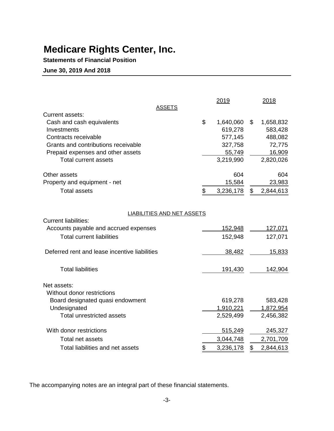**Statements of Financial Position**

**June 30, 2019 And 2018**

|                                               | <b>ASSETS</b>              | 2019            | 2018            |
|-----------------------------------------------|----------------------------|-----------------|-----------------|
| Current assets:<br>Cash and cash equivalents  |                            | \$<br>1,640,060 | \$<br>1,658,832 |
| Investments                                   |                            | 619,278         | 583,428         |
| Contracts receivable                          |                            | 577,145         | 488,082         |
| Grants and contributions receivable           |                            | 327,758         | 72,775          |
| Prepaid expenses and other assets             |                            | 55,749          | 16,909          |
| <b>Total current assets</b>                   |                            | 3,219,990       | 2,820,026       |
| Other assets                                  |                            | 604             | 604             |
| Property and equipment - net                  |                            | 15,584          | 23,983          |
| <b>Total assets</b>                           |                            | \$<br>3,236,178 | \$<br>2,844,613 |
|                                               |                            |                 |                 |
| <b>Current liabilities:</b>                   | LIABILITIES AND NET ASSETS |                 |                 |
| Accounts payable and accrued expenses         |                            | 152,948         | 127,071         |
| <b>Total current liabilities</b>              |                            | 152,948         | 127,071         |
|                                               |                            |                 |                 |
| Deferred rent and lease incentive liabilities |                            | 38,482          | 15,833          |
| <b>Total liabilities</b>                      |                            | 191,430         | 142,904         |
|                                               |                            |                 |                 |
| Net assets:                                   |                            |                 |                 |
| Without donor restrictions                    |                            |                 |                 |
| Board designated quasi endowment              |                            | 619,278         | 583,428         |
| Undesignated                                  |                            | 1,910,221       | 1,872,954       |
| <b>Total unrestricted assets</b>              |                            | 2,529,499       | 2,456,382       |
| With donor restrictions                       |                            | 515,249         | 245,327         |
| Total net assets                              |                            | 3,044,748       | 2,701,709       |
| Total liabilities and net assets              |                            | \$<br>3,236,178 | \$<br>2,844,613 |

The accompanying notes are an integral part of these financial statements.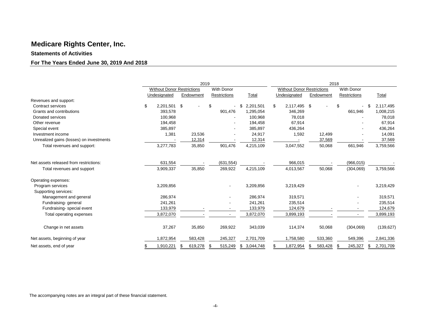#### **Statements of Activities**

#### **For The Years Ended June 30, 2019 And 2018**

|                                          | 2019                              |              |     |                              |                 |     | 2018                              |    |           |    |                   |    |            |
|------------------------------------------|-----------------------------------|--------------|-----|------------------------------|-----------------|-----|-----------------------------------|----|-----------|----|-------------------|----|------------|
|                                          | <b>Without Donor Restrictions</b> |              |     | <b>With Donor</b>            |                 |     | <b>Without Donor Restrictions</b> |    |           |    | <b>With Donor</b> |    |            |
|                                          | Undesignated                      | Endowment    |     | Restrictions                 | Total           |     | Undesignated                      |    | Endowment |    | Restrictions      |    | Total      |
| Revenues and support:                    |                                   |              |     |                              |                 |     |                                   |    |           |    |                   |    |            |
| Contract services                        | \$<br>2,201,501 \$                |              | \$  | $\qquad \qquad \blacksquare$ | 2,201,501<br>\$ | \$  | 2,117,495 \$                      |    |           | \$ | $\blacksquare$    | \$ | 2,117,495  |
| Grants and contributions                 | 393.578                           |              |     | 901,476                      | 1,295,054       |     | 346,269                           |    |           |    | 661,946           |    | 1,008,215  |
| Donated services                         | 100,968                           |              |     |                              | 100,968         |     | 78,018                            |    |           |    |                   |    | 78,018     |
| Other revenue                            | 194,458                           |              |     |                              | 194,458         |     | 67,914                            |    |           |    |                   |    | 67,914     |
| Special event                            | 385,897                           |              |     |                              | 385,897         |     | 436,264                           |    |           |    |                   |    | 436,264    |
| Investment income                        | 1,381                             | 23,536       |     |                              | 24,917          |     | 1,592                             |    | 12,499    |    |                   |    | 14,091     |
| Unrealized gains (losses) on investments |                                   | 12,314       |     |                              | 12,314          |     |                                   |    | 37,569    |    |                   |    | 37,569     |
| Total revenues and support:              | 3,277,783                         | 35,850       |     | 901,476                      | 4,215,109       |     | 3,047,552                         |    | 50,068    |    | 661,946           |    | 3,759,566  |
| Net assets released from restrictions:   | 631,554                           |              |     | (631, 554)                   |                 |     | 966,015                           |    |           |    | (966, 015)        |    |            |
| Total revenues and support               | 3,909,337                         | 35,850       |     | 269,922                      | 4,215,109       |     | 4,013,567                         |    | 50,068    |    | (304,069)         |    | 3,759,566  |
| Operating expenses:                      |                                   |              |     |                              |                 |     |                                   |    |           |    |                   |    |            |
| Program services                         | 3,209,856                         |              |     |                              | 3,209,856       |     | 3,219,429                         |    |           |    |                   |    | 3,219,429  |
| Supporting services:                     |                                   |              |     |                              |                 |     |                                   |    |           |    |                   |    |            |
| Management and general                   | 286,974                           |              |     |                              | 286,974         |     | 319,571                           |    |           |    |                   |    | 319,571    |
| Fundraising-general                      | 241,261                           |              |     |                              | 241,261         |     | 235,514                           |    |           |    |                   |    | 235,514    |
| Fundraising-special event                | 133,979                           |              |     |                              | 133,979         |     | 124,679                           |    |           |    |                   |    | 124,679    |
| Total operating expenses                 | 3,872,070                         |              |     |                              | 3,872,070       |     | 3,899,193                         |    |           |    |                   |    | 3,899,193  |
| Change in net assets                     | 37,267                            | 35,850       |     | 269,922                      | 343,039         |     | 114,374                           |    | 50,068    |    | (304,069)         |    | (139, 627) |
| Net assets, beginning of year            | 1,872,954                         | 583,428      |     | 245,327                      | 2,701,709       |     | 1,758,580                         |    | 533,360   |    | 549,396           |    | 2,841,336  |
| Net assets, end of year                  | \$<br>1,910,221                   | 619,278<br>S | - 5 | 515,249                      | 3,044,748<br>\$ | \$. | 1,872,954                         | S. | 583,428   | \$ | 245,327           | \$ | 2,701,709  |

The accompanying notes are an integral part of these financial statement.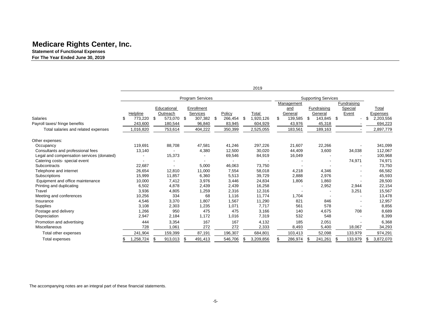**Statement of Functional Expenses For The Year Ended June 30, 2019**

|                                           |     |           |                  |                  |   |         |      | 2019      |               |    |                            |               |    |           |
|-------------------------------------------|-----|-----------|------------------|------------------|---|---------|------|-----------|---------------|----|----------------------------|---------------|----|-----------|
|                                           |     |           |                  | Program Services |   |         |      |           |               |    | <b>Supporting Services</b> |               |    |           |
|                                           |     |           |                  |                  |   |         |      |           | Management    |    |                            | Fundraising   |    |           |
|                                           |     |           | Educational      | Enrollment       |   |         |      |           | and           |    | Fundraising                | Special       |    | Total     |
|                                           |     | Helpline  | Outreach         | Services         |   | Policy  |      | Total     | General       |    | General                    | Event         |    | Expenses  |
| <b>Salaries</b>                           | \$. | 773.220   | \$<br>573,070 \$ | 307,382          | S | 266,454 | - \$ | 1,920,126 | \$<br>139,585 | -S | 143,845                    | \$            | £. | 2,203,556 |
| Payroll taxes/ fringe benefits            |     | 243,600   | 180,544          | 96,840           |   | 83,945  |      | 604,929   | 43,976        |    | 45,318                     |               |    | 694,223   |
| Total salaries and related expenses       |     | 1,016,820 | 753,614          | 404,222          |   | 350,399 |      | 2,525,055 | 183,561       |    | 189,163                    |               |    | 2,897,779 |
| Other expenses:                           |     |           |                  |                  |   |         |      |           |               |    |                            |               |    |           |
| Occupancy                                 |     | 119.691   | 88,708           | 47,581           |   | 41,246  |      | 297,226   | 21,607        |    | 22,266                     |               |    | 341,099   |
| Consultants and professional fees         |     | 13,140    |                  | 4,380            |   | 12,500  |      | 30,020    | 44,409        |    | 3,600                      | 34,038        |    | 112,067   |
| Legal and compensation services (donated) |     |           | 15,373           |                  |   | 69,546  |      | 84,919    | 16,049        |    |                            |               |    | 100,968   |
| Catering costs-special event              |     |           |                  |                  |   |         |      |           |               |    |                            | 74,971        |    | 74,971    |
| Subcontracts                              |     | 22,687    |                  | 5,000            |   | 46,063  |      | 73,750    |               |    |                            |               |    | 73,750    |
| Telephone and internet                    |     | 26,654    | 12,810           | 11,000           |   | 7,554   |      | 58,018    | 4,218         |    | 4,346                      |               |    | 66,582    |
| Subscriptions                             |     | 15,999    | 11,857           | 6,360            |   | 5,513   |      | 39,729    | 2,888         |    | 2,976                      |               |    | 45,593    |
| Equipment and office maintenance          |     | 10,000    | 7,412            | 3,976            |   | 3,446   |      | 24,834    | 1,806         |    | 1,860                      |               |    | 28,500    |
| Printing and duplicating                  |     | 6,502     | 4,878            | 2,439            |   | 2,439   |      | 16,258    |               |    | 2,952                      | 2,944         |    | 22,154    |
| Travel                                    |     | 3,936     | 4,805            | 1,259            |   | 2,316   |      | 12,316    |               |    |                            | 3,251         |    | 15,567    |
| Meeting and conferences                   |     | 10,256    | 334              | 68               |   | 1,116   |      | 11,774    | 1,704         |    |                            |               |    | 13,478    |
| Insurance                                 |     | 4,546     | 3,370            | 1,807            |   | 1,567   |      | 11,290    | 821           |    | 846                        |               |    | 12,957    |
| Supplies                                  |     | 3,108     | 2,303            | 1,235            |   | 1,071   |      | 7.717     | 561           |    | 578                        |               |    | 8,856     |
| Postage and delivery                      |     | 1,266     | 950              | 475              |   | 475     |      | 3,166     | 140           |    | 4,675                      | 708           |    | 8,689     |
| Depreciation                              |     | 2,947     | 2,184            | 1,172            |   | 1,016   |      | 7,319     | 532           |    | 548                        |               |    | 8,399     |
| Promotion and advertising                 |     | 444       | 3,354            | 167              |   | 167     |      | 4,132     | 185           |    | 2,051                      |               |    | 6,368     |
| Miscellaneous                             |     | 728       | 1,061            | 272              |   | 272     |      | 2,333     | 8,493         |    | 5,400                      | 18,067        |    | 34,293    |
| Total other expenses                      |     | 241,904   | 159,399          | 87,191           |   | 196,307 |      | 684,801   | 103,413       |    | 52,098                     | 133,979       |    | 974,291   |
| Total expenses                            | \$  | 1,258,724 | \$<br>913,013    | \$<br>491,413    |   | 546,706 |      | 3,209,856 | 286,974       | \$ | 241,261                    | \$<br>133,979 | S  | 3,872,070 |

The accompanying notes are an integral part of these financial statements.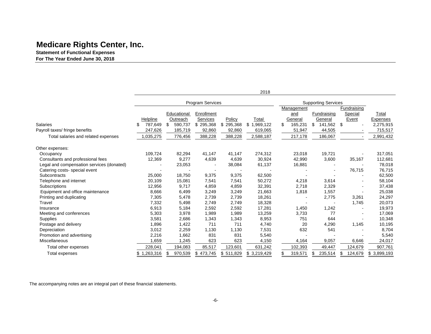**Statement of Functional Expenses For The Year Ended June 30, 2018** 

|                                           |              |               |                         |           | 2018        |    |            |                            |   |             |             |
|-------------------------------------------|--------------|---------------|-------------------------|-----------|-------------|----|------------|----------------------------|---|-------------|-------------|
|                                           |              |               | <b>Program Services</b> |           |             |    |            | <b>Supporting Services</b> |   |             |             |
|                                           |              |               |                         |           |             |    | Management |                            |   | Fundraising |             |
|                                           |              | Educational   | Enrollment              |           |             |    | and        | Fundraising                |   | Special     | Total       |
|                                           | Helpline     | Outreach      | Services                | Policy    | Total       |    | General    | General                    |   | Event       | Expenses    |
| <b>Salaries</b>                           | 787,649<br>S | 590,737<br>\$ | \$295,368               | \$295,368 | \$1,969,122 | \$ | 165,231    | 141,562 \$<br>\$           |   |             | 2,275,915   |
| Payroll taxes/ fringe benefits            | 247,626      | 185,719       | 92,860                  | 92,860    | 619,065     |    | 51,947     | 44,505                     |   |             | 715,517     |
| Total salaries and related expenses       | 1,035,275    | 776,456       | 388,228                 | 388,228   | 2,588,187   |    | 217,178    | 186,067                    |   |             | 2,991,432   |
| Other expenses:                           |              |               |                         |           |             |    |            |                            |   |             |             |
| Occupancy                                 | 109,724      | 82,294        | 41.147                  | 41,147    | 274,312     |    | 23,018     | 19,721                     |   |             | 317,051     |
| Consultants and professional fees         | 12,369       |               | 4,639<br>9,277          | 4,639     | 30,924      |    | 42,990     | 3,600                      |   | 35,167      | 112,681     |
| Legal and compensation services (donated) |              | 23,053        |                         | 38,084    | 61,137      |    | 16,881     |                            |   |             | 78,018      |
| Catering costs-special event              |              |               |                         |           |             |    |            |                            |   | 76,715      | 76,715      |
| Subcontracts                              | 25,000       | 18,750        | 9,375                   | 9,375     | 62,500      |    |            |                            |   |             | 62,500      |
| Telephone and internet                    | 20,109       | 15,081        | 7,541                   | 7,541     | 50,272      |    | 4,218      | 3,614                      |   |             | 58,104      |
| Subscriptions                             | 12,956       |               | 9,717<br>4,859          | 4,859     | 32,391      |    | 2,718      | 2,329                      |   |             | 37,438      |
| Equipment and office maintenance          | 8,666        |               | 3,249<br>6,499          | 3,249     | 21,663      |    | 1,818      | 1,557                      |   |             | 25,038      |
| Printing and duplicating                  | 7,305        |               | 2,739<br>5,478          | 2,739     | 18,261      |    |            | 2,775                      |   | 3,261       | 24,297      |
| Travel                                    | 7,332        |               | 2,749<br>5,498          | 2,749     | 18,328      |    |            |                            |   | 1,745       | 20,073      |
| Insurance                                 | 6,913        |               | 5,184<br>2,592          | 2,592     | 17,281      |    | 1,450      | 1,242                      |   |             | 19,973      |
| Meeting and conferences                   | 5,303        |               | 1,989<br>3,978          | 1,989     | 13,259      |    | 3,733      | 77                         |   |             | 17,069      |
| Supplies                                  | 3,581        |               | 2,686<br>1,343          | 1,343     | 8,953       |    | 751        | 644                        |   |             | 10,348      |
| Postage and delivery                      | 1,896        |               | 1,422<br>711            | 711       | 4,740       |    | 20         | 4,290                      |   | 1,145       | 10,195      |
| Depreciation                              | 3,012        |               | 2,259<br>1,130          | 1,130     | 7,531       |    | 632        | 541                        |   |             | 8,704       |
| Promotion and advertising                 | 2,216        |               | 1,662<br>831            | 831       | 5,540       |    |            |                            |   |             | 5,540       |
| Miscellaneous                             | 1,659        |               | 1,245<br>623            | 623       | 4,150       |    | 4,164      | 9,057                      |   | 6,646       | 24,017      |
| Total other expenses                      | 228,041      | 194,083       | 85,517                  | 123,601   | 631,242     |    | 102,393    | 49,447                     |   | 124,679     | 907,761     |
| Total expenses                            | \$1,263,316  | \$<br>970,539 | \$473,745               | \$511,829 | \$3,219,429 | S  | 319,571    | 235,514                    | S | 124,679     | \$3,899,193 |

The accompanying notes are an integral part of these financial statements.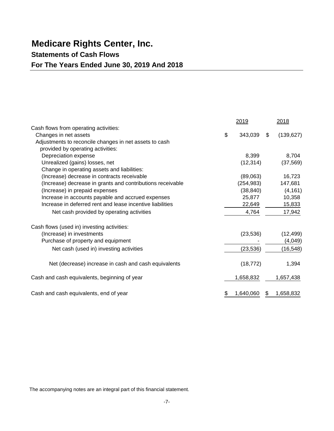### **Statements of Cash Flows**

### **For The Years Ended June 30, 2019 And 2018**

|                                                            | 2019            | 2018             |
|------------------------------------------------------------|-----------------|------------------|
| Cash flows from operating activities:                      |                 |                  |
| Changes in net assets                                      | \$<br>343,039   | \$<br>(139, 627) |
| Adjustments to reconcile changes in net assets to cash     |                 |                  |
| provided by operating activities:                          |                 |                  |
| Depreciation expense                                       | 8,399           | 8,704            |
| Unrealized (gains) losses, net                             | (12, 314)       | (37, 569)        |
| Change in operating assets and liabilities:                |                 |                  |
| (Increase) decrease in contracts receivable                | (89,063)        | 16,723           |
| (Increase) decrease in grants and contributions receivable | (254, 983)      | 147,681          |
| (Increase) in prepaid expenses                             | (38, 840)       | (4, 161)         |
| Increase in accounts payable and accrued expenses          | 25,877          | 10,358           |
| Increase in deferred rent and lease incentive liabilities  | 22,649          | 15,833           |
| Net cash provided by operating activities                  | 4,764           | 17,942           |
| Cash flows (used in) investing activities:                 |                 |                  |
| (Increase) in investments                                  | (23, 536)       | (12, 499)        |
| Purchase of property and equipment                         |                 | (4,049)          |
| Net cash (used in) investing activities                    | (23, 536)       | (16, 548)        |
| Net (decrease) increase in cash and cash equivalents       | (18, 772)       | 1,394            |
| Cash and cash equivalents, beginning of year               | 1,658,832       | 1,657,438        |
| Cash and cash equivalents, end of year                     | \$<br>1,640,060 | \$<br>1,658,832  |

The accompanying notes are an integral part of this financial statement.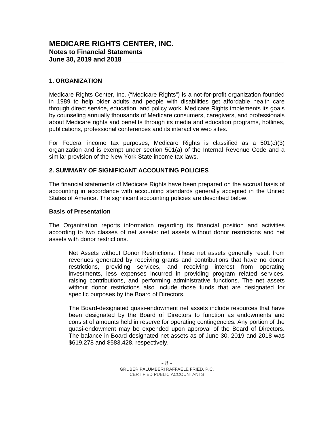#### **1. ORGANIZATION**

Medicare Rights Center, Inc. ("Medicare Rights") is a not-for-profit organization founded in 1989 to help older adults and people with disabilities get affordable health care through direct service, education, and policy work. Medicare Rights implements its goals by counseling annually thousands of Medicare consumers, caregivers, and professionals about Medicare rights and benefits through its media and education programs, hotlines, publications, professional conferences and its interactive web sites.

For Federal income tax purposes, Medicare Rights is classified as a  $501(c)(3)$ organization and is exempt under section 501(a) of the Internal Revenue Code and a similar provision of the New York State income tax laws.

#### **2. SUMMARY OF SIGNIFICANT ACCOUNTING POLICIES**

The financial statements of Medicare Rights have been prepared on the accrual basis of accounting in accordance with accounting standards generally accepted in the United States of America. The significant accounting policies are described below.

#### **Basis of Presentation**

The Organization reports information regarding its financial position and activities according to two classes of net assets: net assets without donor restrictions and net assets with donor restrictions.

Net Assets without Donor Restrictions: These net assets generally result from revenues generated by receiving grants and contributions that have no donor restrictions, providing services, and receiving interest from operating investments, less expenses incurred in providing program related services, raising contributions, and performing administrative functions. The net assets without donor restrictions also include those funds that are designated for specific purposes by the Board of Directors.

The Board-designated quasi-endowment net assets include resources that have been designated by the Board of Directors to function as endowments and consist of amounts held in reserve for operating contingencies. Any portion of the quasi-endowment may be expended upon approval of the Board of Directors. The balance in Board designated net assets as of June 30, 2019 and 2018 was \$619,278 and \$583,428, respectively.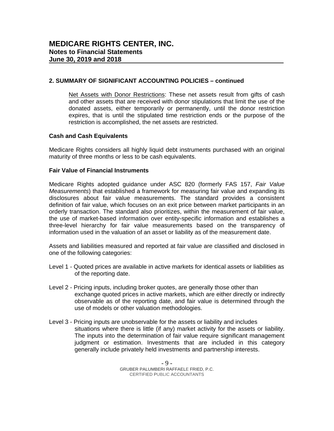#### **2. SUMMARY OF SIGNIFICANT ACCOUNTING POLICIES – continued**

Net Assets with Donor Restrictions: These net assets result from gifts of cash and other assets that are received with donor stipulations that limit the use of the donated assets, either temporarily or permanently, until the donor restriction expires, that is until the stipulated time restriction ends or the purpose of the restriction is accomplished, the net assets are restricted.

#### **Cash and Cash Equivalents**

Medicare Rights considers all highly liquid debt instruments purchased with an original maturity of three months or less to be cash equivalents.

#### **Fair Value of Financial Instruments**

Medicare Rights adopted guidance under ASC 820 (formerly FAS 157, *Fair Value Measurements*) that established a framework for measuring fair value and expanding its disclosures about fair value measurements. The standard provides a consistent definition of fair value, which focuses on an exit price between market participants in an orderly transaction. The standard also prioritizes, within the measurement of fair value, the use of market-based information over entity-specific information and establishes a three-level hierarchy for fair value measurements based on the transparency of information used in the valuation of an asset or liability as of the measurement date.

Assets and liabilities measured and reported at fair value are classified and disclosed in one of the following categories:

- Level 1 Quoted prices are available in active markets for identical assets or liabilities as of the reporting date.
- Level 2 Pricing inputs, including broker quotes, are generally those other than exchange quoted prices in active markets, which are either directly or indirectly observable as of the reporting date, and fair value is determined through the use of models or other valuation methodologies.
- Level 3 Pricing inputs are unobservable for the assets or liability and includes situations where there is little (if any) market activity for the assets or liability. The inputs into the determination of fair value require significant management judgment or estimation. Investments that are included in this category generally include privately held investments and partnership interests.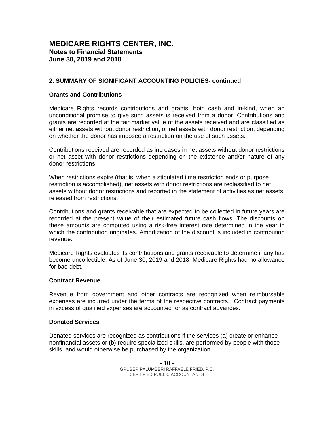#### **2. SUMMARY OF SIGNIFICANT ACCOUNTING POLICIES- continued**

#### **Grants and Contributions**

Medicare Rights records contributions and grants, both cash and in-kind, when an unconditional promise to give such assets is received from a donor. Contributions and grants are recorded at the fair market value of the assets received and are classified as either net assets without donor restriction, or net assets with donor restriction, depending on whether the donor has imposed a restriction on the use of such assets.

Contributions received are recorded as increases in net assets without donor restrictions or net asset with donor restrictions depending on the existence and/or nature of any donor restrictions.

When restrictions expire (that is, when a stipulated time restriction ends or purpose restriction is accomplished), net assets with donor restrictions are reclassified to net assets without donor restrictions and reported in the statement of activities as net assets released from restrictions.

Contributions and grants receivable that are expected to be collected in future years are recorded at the present value of their estimated future cash flows. The discounts on these amounts are computed using a risk-free interest rate determined in the year in which the contribution originates. Amortization of the discount is included in contribution revenue.

Medicare Rights evaluates its contributions and grants receivable to determine if any has become uncollectible. As of June 30, 2019 and 2018, Medicare Rights had no allowance for bad debt.

#### **Contract Revenue**

Revenue from government and other contracts are recognized when reimbursable expenses are incurred under the terms of the respective contracts. Contract payments in excess of qualified expenses are accounted for as contract advances.

#### **Donated Services**

Donated services are recognized as contributions if the services (a) create or enhance nonfinancial assets or (b) require specialized skills, are performed by people with those skills, and would otherwise be purchased by the organization.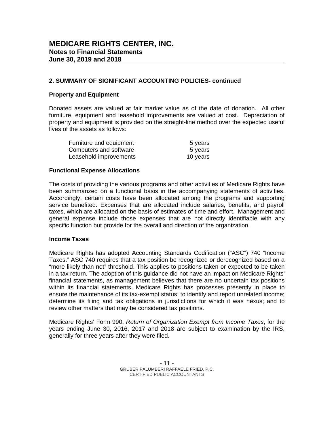#### **2. SUMMARY OF SIGNIFICANT ACCOUNTING POLICIES- continued**

#### **Property and Equipment**

Donated assets are valued at fair market value as of the date of donation. All other furniture, equipment and leasehold improvements are valued at cost. Depreciation of property and equipment is provided on the straight-line method over the expected useful lives of the assets as follows:

| Furniture and equipment | 5 years  |
|-------------------------|----------|
| Computers and software  | 5 years  |
| Leasehold improvements  | 10 years |

#### **Functional Expense Allocations**

The costs of providing the various programs and other activities of Medicare Rights have been summarized on a functional basis in the accompanying statements of activities. Accordingly, certain costs have been allocated among the programs and supporting service benefited. Expenses that are allocated include salaries, benefits, and payroll taxes, which are allocated on the basis of estimates of time and effort. Management and general expense include those expenses that are not directly identifiable with any specific function but provide for the overall and direction of the organization.

#### **Income Taxes**

Medicare Rights has adopted Accounting Standards Codification ("ASC") 740 "Income Taxes." ASC 740 requires that a tax position be recognized or derecognized based on a "more likely than not" threshold. This applies to positions taken or expected to be taken in a tax return. The adoption of this guidance did not have an impact on Medicare Rights' financial statements, as management believes that there are no uncertain tax positions within its financial statements. Medicare Rights has processes presently in place to ensure the maintenance of its tax-exempt status; to identify and report unrelated income; determine its filing and tax obligations in jurisdictions for which it was nexus; and to review other matters that may be considered tax positions.

Medicare Rights' Form 990, *Return of Organization Exempt from Income Taxes*, for the years ending June 30, 2016, 2017 and 2018 are subject to examination by the IRS, generally for three years after they were filed.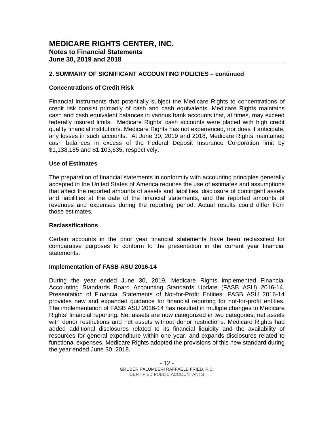#### **2. SUMMARY OF SIGNIFICANT ACCOUNTING POLICIES – continued**

#### **Concentrations of Credit Risk**

Financial instruments that potentially subject the Medicare Rights to concentrations of credit risk consist primarily of cash and cash equivalents. Medicare Rights maintains cash and cash equivalent balances in various bank accounts that, at times, may exceed federally insured limits. Medicare Rights' cash accounts were placed with high credit quality financial institutions. Medicare Rights has not experienced, nor does it anticipate, any losses in such accounts. At June 30, 2019 and 2018, Medicare Rights maintained cash balances in excess of the Federal Deposit Insurance Corporation limit by \$1,138,185 and \$1,103,635, respectively.

#### **Use of Estimates**

The preparation of financial statements in conformity with accounting principles generally accepted in the United States of America requires the use of estimates and assumptions that affect the reported amounts of assets and liabilities, disclosure of contingent assets and liabilities at the date of the financial statements, and the reported amounts of revenues and expenses during the reporting period. Actual results could differ from those estimates.

#### **Reclassifications**

Certain accounts in the prior year financial statements have been reclassified for comparative purposes to conform to the presentation in the current year financial statements.

#### **Implementation of FASB ASU 2016-14**

During the year ended June 30, 2019, Medicare Rights implemented Financial Accounting Standards Board Accounting Standards Update (FASB ASU) 2016-14, Presentation of Financial Statements of Not-for-Profit Entities. FASB ASU 2016-14 provides new and expanded guidance for financial reporting for not-for-profit entities. The implementation of FASB ASU 2016-14 has resulted in multiple changes to Medicare Rights' financial reporting. Net assets are now categorized in two categories; net assets with donor restrictions and net assets without donor restrictions. Medicare Rights had added additional disclosures related to its financial liquidity and the availability of resources for general expenditure within one year, and expands disclosures related to functional expenses. Medicare Rights adopted the provisions of this new standard during the year ended June 30, 2018.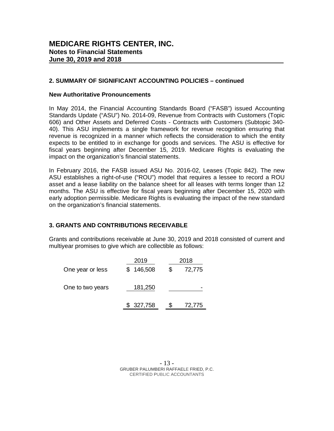#### **2. SUMMARY OF SIGNIFICANT ACCOUNTING POLICIES – continued**

#### **New Authoritative Pronouncements**

In May 2014, the Financial Accounting Standards Board ("FASB") issued Accounting Standards Update ("ASU") No. 2014-09, Revenue from Contracts with Customers (Topic 606) and Other Assets and Deferred Costs - Contracts with Customers (Subtopic 340- 40). This ASU implements a single framework for revenue recognition ensuring that revenue is recognized in a manner which reflects the consideration to which the entity expects to be entitled to in exchange for goods and services. The ASU is effective for fiscal years beginning after December 15, 2019. Medicare Rights is evaluating the impact on the organization's financial statements.

In February 2016, the FASB issued ASU No. 2016-02, Leases (Topic 842). The new ASU establishes a right-of-use ("ROU") model that requires a lessee to record a ROU asset and a lease liability on the balance sheet for all leases with terms longer than 12 months. The ASU is effective for fiscal years beginning after December 15, 2020 with early adoption permissible. Medicare Rights is evaluating the impact of the new standard on the organization's financial statements.

#### **3. GRANTS AND CONTRIBUTIONS RECEIVABLE**

Grants and contributions receivable at June 30, 2019 and 2018 consisted of current and multiyear promises to give which are collectible as follows:

|                  | 2019      | 2018 |        |
|------------------|-----------|------|--------|
| One year or less | \$146,508 | \$   | 72,775 |
| One to two years | 181,250   |      |        |
|                  | \$327,758 |      | 72,775 |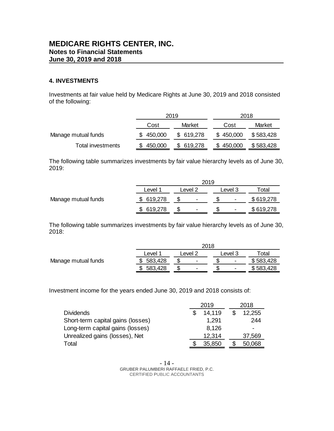#### **4. INVESTMENTS**

Investments at fair value held by Medicare Rights at June 30, 2019 and 2018 consisted of the following:

|                     | 2019      |           | 2018      |           |
|---------------------|-----------|-----------|-----------|-----------|
|                     | Cost      | Market    | Cost      | Market    |
| Manage mutual funds | \$450,000 | \$619,278 | \$450,000 | \$583,428 |
| Total investments   | 450,000   | \$619,278 | \$450,000 | \$583,428 |

The following table summarizes investments by fair value hierarchy levels as of June 30, 2019:

|                     | 2019               |         |                |  |                              |           |  |  |
|---------------------|--------------------|---------|----------------|--|------------------------------|-----------|--|--|
|                     | Level <sup>1</sup> | Level 2 |                |  | Level 3                      | Total     |  |  |
| Manage mutual funds | 619,278            |         | $\blacksquare$ |  | $\qquad \qquad \blacksquare$ | \$619,278 |  |  |
|                     | 619,278            |         | $\blacksquare$ |  | $\qquad \qquad \blacksquare$ | \$619,278 |  |  |

The following table summarizes investments by fair value hierarchy levels as of June 30, 2018:

|                     |         | 2018                     |                          |                   |  |  |  |  |  |
|---------------------|---------|--------------------------|--------------------------|-------------------|--|--|--|--|--|
|                     | Level   | _evel 2                  |                          | <sup>-</sup> otal |  |  |  |  |  |
| Manage mutual funds | 583,428 | $\overline{\phantom{0}}$ | $\overline{\phantom{0}}$ | \$583,428         |  |  |  |  |  |
|                     | 583,428 | $\overline{\phantom{0}}$ | $\overline{\phantom{0}}$ | \$583,428         |  |  |  |  |  |

Investment income for the years ended June 30, 2019 and 2018 consists of:

|                                   | 2019   | 2018   |
|-----------------------------------|--------|--------|
| <b>Dividends</b>                  | 14,119 | 12,255 |
| Short-term capital gains (losses) | 1,291  | 244    |
| Long-term capital gains (losses)  | 8,126  | ٠      |
| Unrealized gains (losses), Net    | 12,314 | 37,569 |
| Total                             | 35,850 | 50,068 |

- 14 - GRUBER PALUMBERI RAFFAELE FRIED, P.C. CERTIFIED PUBLIC ACCOUNTANTS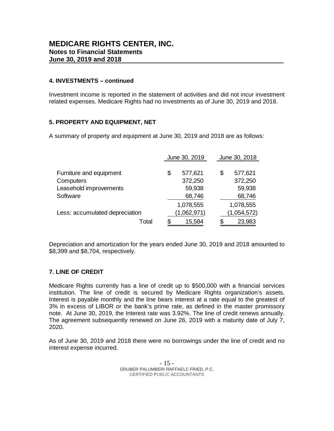#### **4. INVESTMENTS – continued**

Investment income is reported in the statement of activities and did not incur investment related expenses. Medicare Rights had no investments as of June 30, 2019 and 2018.

#### **5. PROPERTY AND EQUIPMENT, NET**

A summary of property and equipment at June 30, 2019 and 2018 are as follows:

|                                |    | June 30, 2019 |    | June 30, 2018 |  |  |
|--------------------------------|----|---------------|----|---------------|--|--|
|                                |    |               |    |               |  |  |
| Furniture and equipment        | \$ | 577,621       | \$ | 577,621       |  |  |
| Computers                      |    | 372,250       |    | 372,250       |  |  |
| Leasehold improvements         |    | 59,938        |    | 59,938        |  |  |
| Software                       |    | 68,746        |    | 68,746        |  |  |
|                                |    | 1,078,555     |    | 1,078,555     |  |  |
| Less: accumulated depreciation |    | (1,062,971)   |    | (1,054,572)   |  |  |
| Total                          | S  | 15,584        |    | 23,983        |  |  |

Depreciation and amortization for the years ended June 30, 2019 and 2018 amounted to \$8,399 and \$8,704, respectively.

#### **7. LINE OF CREDIT**

Medicare Rights currently has a line of credit up to \$500,000 with a financial services institution. The line of credit is secured by Medicare Rights organization's assets. Interest is payable monthly and the line bears interest at a rate equal to the greatest of 3% in excess of LIBOR or the bank's prime rate, as defined in the master promissory note. At June 30, 2019, the Interest rate was 3.92%. The line of credit renews annually. The agreement subsequently renewed on June 26, 2019 with a maturity date of July 7, 2020.

As of June 30, 2019 and 2018 there were no borrowings under the line of credit and no interest expense incurred.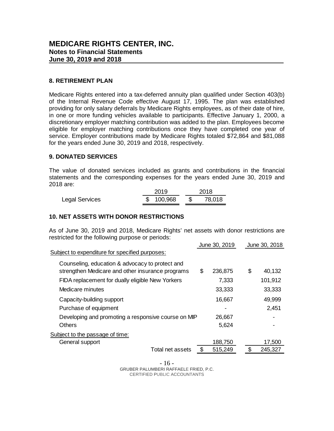#### **8. RETIREMENT PLAN**

Medicare Rights entered into a tax-deferred annuity plan qualified under Section 403(b) of the Internal Revenue Code effective August 17, 1995. The plan was established providing for only salary deferrals by Medicare Rights employees, as of their date of hire, in one or more funding vehicles available to participants. Effective January 1, 2000, a discretionary employer matching contribution was added to the plan. Employees become eligible for employer matching contributions once they have completed one year of service. Employer contributions made by Medicare Rights totaled \$72,864 and \$81,088 for the years ended June 30, 2019 and 2018, respectively.

#### **9. DONATED SERVICES**

The value of donated services included as grants and contributions in the financial statements and the corresponding expenses for the years ended June 30, 2019 and 2018 are:

|                | 2019 |           | 2018   |  |  |
|----------------|------|-----------|--------|--|--|
| Legal Services |      | \$100,968 | 78,018 |  |  |

# **10. NET ASSETS WITH DONOR RESTRICTIONS**

As of June 30, 2019 and 2018, Medicare Rights' net assets with donor restrictions are restricted for the following purpose or periods:

|                                                                                                     | June 30, 2019 | June 30, 2018 |
|-----------------------------------------------------------------------------------------------------|---------------|---------------|
| Subject to expenditure for specified purposes:                                                      |               |               |
| Counseling, education & advocacy to protect and<br>strengthen Medicare and other insurance programs | \$<br>236,875 | \$<br>40,132  |
| FIDA replacement for dually eligible New Yorkers                                                    | 7,333         | 101,912       |
| Medicare minutes                                                                                    | 33,333        | 33,333        |
| Capacity-building support                                                                           | 16,667        | 49,999        |
| Purchase of equipment                                                                               |               | 2,451         |
| Developing and promoting a responsive course on MIP                                                 | 26,667        |               |
| <b>Others</b>                                                                                       | 5,624         |               |
| Subject to the passage of time:                                                                     |               |               |
| General support                                                                                     | 188,750       | 17,500        |
| Total net assets                                                                                    | \$<br>515,249 | \$<br>245,327 |

- 16 - GRUBER PALUMBERI RAFFAELE FRIED, P.C. CERTIFIED PUBLIC ACCOUNTANTS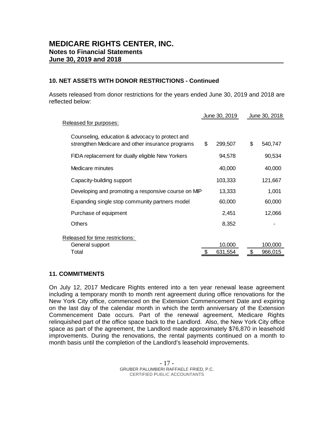#### **10. NET ASSETS WITH DONOR RESTRICTIONS - Continued**

Assets released from donor restrictions for the years ended June 30, 2019 and 2018 are reflected below:

|                                                                                                     | June 30, 2019 |    | June 30, 2018 |  |
|-----------------------------------------------------------------------------------------------------|---------------|----|---------------|--|
| Released for purposes:                                                                              |               |    |               |  |
| Counseling, education & advocacy to protect and<br>strengthen Medicare and other insurance programs | \$<br>299,507 | \$ | 540,747       |  |
| FIDA replacement for dually eligible New Yorkers                                                    | 94,578        |    | 90,534        |  |
| Medicare minutes                                                                                    | 40,000        |    | 40,000        |  |
| Capacity-building support                                                                           | 103,333       |    | 121,667       |  |
| Developing and promoting a responsive course on MIP                                                 | 13,333        |    | 1,001         |  |
| Expanding single stop community partners model                                                      | 60,000        |    | 60,000        |  |
| Purchase of equipment                                                                               | 2,451         |    | 12,066        |  |
| Others                                                                                              | 8,352         |    |               |  |
| Released for time restrictions:                                                                     |               |    |               |  |
| General support                                                                                     | 10,000        |    | 100,000       |  |
| Total                                                                                               | 631,554       | S  | 966,015       |  |
|                                                                                                     |               |    |               |  |

#### **11. COMMITMENTS**

On July 12, 2017 Medicare Rights entered into a ten year renewal lease agreement including a temporary month to month rent agreement during office renovations for the New York City office, commenced on the Extension Commencement Date and expiring on the last day of the calendar month in which the tenth anniversary of the Extension Commencement Date occurs. Part of the renewal agreement, Medicare Rights relinquished part of the office space back to the Landlord. Also, the New York City office space as part of the agreement, the Landlord made approximately \$76,870 in leasehold improvements. During the renovations, the rental payments continued on a month to month basis until the completion of the Landlord's leasehold improvements.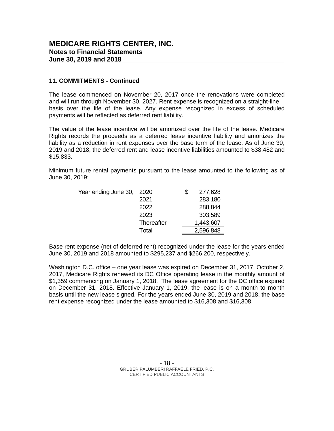#### **11. COMMITMENTS - Continued**

The lease commenced on November 20, 2017 once the renovations were completed and will run through November 30, 2027. Rent expense is recognized on a straight-line basis over the life of the lease. Any expense recognized in excess of scheduled payments will be reflected as deferred rent liability.

The value of the lease incentive will be amortized over the life of the lease. Medicare Rights records the proceeds as a deferred lease incentive liability and amortizes the liability as a reduction in rent expenses over the base term of the lease. As of June 30, 2019 and 2018, the deferred rent and lease incentive liabilities amounted to \$38,482 and \$15,833.

Minimum future rental payments pursuant to the lease amounted to the following as of June 30, 2019:

| Year ending June 30,<br>2020 | S | 277,628   |
|------------------------------|---|-----------|
| 2021                         |   | 283,180   |
| 2022                         |   | 288,844   |
| 2023                         |   | 303,589   |
| Thereafter                   |   | 1,443,607 |
| Total                        |   | 2,596,848 |
|                              |   |           |

 $\overline{a}$ Base rent expense (net of deferred rent) recognized under the lease for the years ended June 30, 2019 and 2018 amounted to \$295,237 and \$266,200, respectively.

Washington D.C. office – one year lease was expired on December 31, 2017. October 2, 2017, Medicare Rights renewed its DC Office operating lease in the monthly amount of \$1,359 commencing on January 1, 2018. The lease agreement for the DC office expired on December 31, 2018. Effective January 1, 2019, the lease is on a month to month basis until the new lease signed. For the years ended June 30, 2019 and 2018, the base rent expense recognized under the lease amounted to \$16,308 and \$16,308.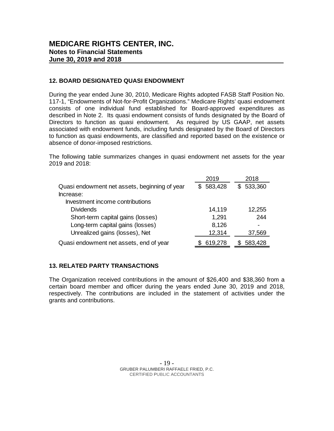#### **12. BOARD DESIGNATED QUASI ENDOWMENT**

During the year ended June 30, 2010, Medicare Rights adopted FASB Staff Position No. 117-1, "Endowments of Not-for-Profit Organizations." Medicare Rights' quasi endowment consists of one individual fund established for Board-approved expenditures as described in Note 2. Its quasi endowment consists of funds designated by the Board of Directors to function as quasi endowment. As required by US GAAP, net assets associated with endowment funds, including funds designated by the Board of Directors to function as quasi endowments, are classified and reported based on the existence or absence of donor-imposed restrictions.

The following table summarizes changes in quasi endowment net assets for the year 2019 and 2018:

|                                               | 2019      | 2018      |
|-----------------------------------------------|-----------|-----------|
| Quasi endowment net assets, beginning of year | \$583,428 | \$533,360 |
| Increase:                                     |           |           |
| Investment income contributions               |           |           |
| <b>Dividends</b>                              | 14,119    | 12,255    |
| Short-term capital gains (losses)             | 1,291     | 244       |
| Long-term capital gains (losses)              | 8,126     |           |
| Unrealized gains (losses), Net                | 12,314    | 37,569    |
| Quasi endowment net assets, end of year       | 619,278   | 583,428   |

#### **13. RELATED PARTY TRANSACTIONS**

The Organization received contributions in the amount of \$26,400 and \$38,360 from a certain board member and officer during the years ended June 30, 2019 and 2018, respectively. The contributions are included in the statement of activities under the grants and contributions.